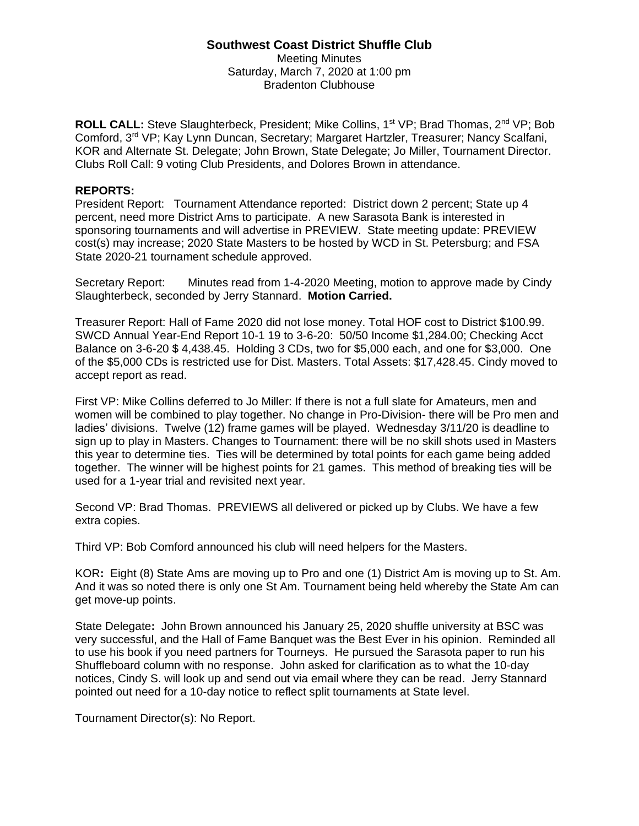#### **Southwest Coast District Shuffle Club** Meeting Minutes Saturday, March 7, 2020 at 1:00 pm Bradenton Clubhouse

**ROLL CALL:** Steve Slaughterbeck, President; Mike Collins, 1<sup>st</sup> VP; Brad Thomas, 2<sup>nd</sup> VP; Bob Comford, 3rd VP; Kay Lynn Duncan, Secretary; Margaret Hartzler, Treasurer; Nancy Scalfani, KOR and Alternate St. Delegate; John Brown, State Delegate; Jo Miller, Tournament Director. Clubs Roll Call: 9 voting Club Presidents, and Dolores Brown in attendance.

#### **REPORTS:**

President Report: Tournament Attendance reported: District down 2 percent; State up 4 percent, need more District Ams to participate. A new Sarasota Bank is interested in sponsoring tournaments and will advertise in PREVIEW. State meeting update: PREVIEW cost(s) may increase; 2020 State Masters to be hosted by WCD in St. Petersburg; and FSA State 2020-21 tournament schedule approved.

Secretary Report: Minutes read from 1-4-2020 Meeting, motion to approve made by Cindy Slaughterbeck, seconded by Jerry Stannard. **Motion Carried.**

Treasurer Report: Hall of Fame 2020 did not lose money. Total HOF cost to District \$100.99. SWCD Annual Year-End Report 10-1 19 to 3-6-20: 50/50 Income \$1,284.00; Checking Acct Balance on 3-6-20 \$ 4,438.45. Holding 3 CDs, two for \$5,000 each, and one for \$3,000. One of the \$5,000 CDs is restricted use for Dist. Masters. Total Assets: \$17,428.45. Cindy moved to accept report as read.

First VP: Mike Collins deferred to Jo Miller: If there is not a full slate for Amateurs, men and women will be combined to play together. No change in Pro-Division- there will be Pro men and ladies' divisions. Twelve (12) frame games will be played. Wednesday 3/11/20 is deadline to sign up to play in Masters. Changes to Tournament: there will be no skill shots used in Masters this year to determine ties. Ties will be determined by total points for each game being added together. The winner will be highest points for 21 games. This method of breaking ties will be used for a 1-year trial and revisited next year.

Second VP: Brad Thomas. PREVIEWS all delivered or picked up by Clubs. We have a few extra copies.

Third VP: Bob Comford announced his club will need helpers for the Masters.

KOR**:** Eight (8) State Ams are moving up to Pro and one (1) District Am is moving up to St. Am. And it was so noted there is only one St Am. Tournament being held whereby the State Am can get move-up points.

State Delegate**:** John Brown announced his January 25, 2020 shuffle university at BSC was very successful, and the Hall of Fame Banquet was the Best Ever in his opinion. Reminded all to use his book if you need partners for Tourneys. He pursued the Sarasota paper to run his Shuffleboard column with no response. John asked for clarification as to what the 10-day notices, Cindy S. will look up and send out via email where they can be read. Jerry Stannard pointed out need for a 10-day notice to reflect split tournaments at State level.

Tournament Director(s): No Report.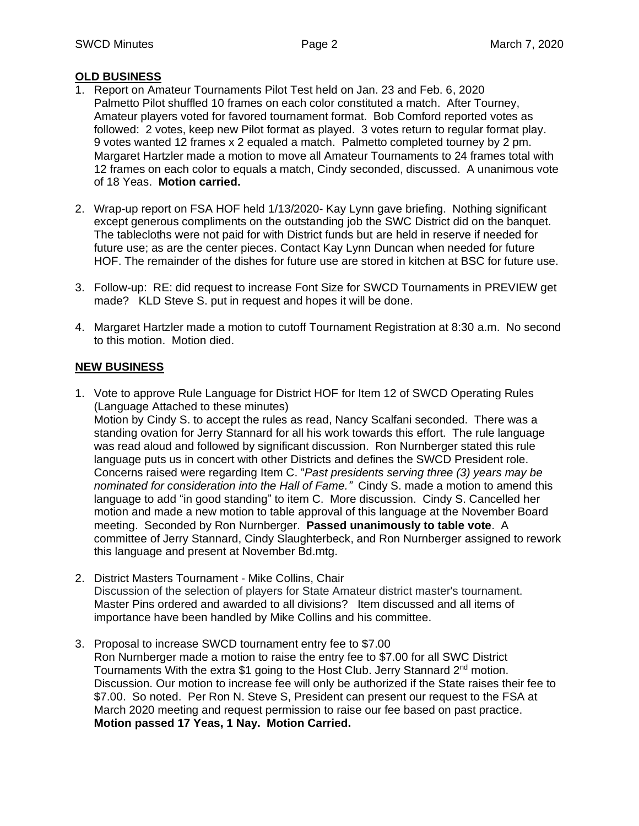## **OLD BUSINESS**

- 1. Report on Amateur Tournaments Pilot Test held on Jan. 23 and Feb. 6, 2020 Palmetto Pilot shuffled 10 frames on each color constituted a match. After Tourney, Amateur players voted for favored tournament format. Bob Comford reported votes as followed: 2 votes, keep new Pilot format as played. 3 votes return to regular format play. 9 votes wanted 12 frames x 2 equaled a match. Palmetto completed tourney by 2 pm. Margaret Hartzler made a motion to move all Amateur Tournaments to 24 frames total with 12 frames on each color to equals a match, Cindy seconded, discussed. A unanimous vote of 18 Yeas. **Motion carried.**
- 2. Wrap-up report on FSA HOF held 1/13/2020- Kay Lynn gave briefing. Nothing significant except generous compliments on the outstanding job the SWC District did on the banquet. The tablecloths were not paid for with District funds but are held in reserve if needed for future use; as are the center pieces. Contact Kay Lynn Duncan when needed for future HOF. The remainder of the dishes for future use are stored in kitchen at BSC for future use.
- 3. Follow-up: RE: did request to increase Font Size for SWCD Tournaments in PREVIEW get made? KLD Steve S. put in request and hopes it will be done.
- 4. Margaret Hartzler made a motion to cutoff Tournament Registration at 8:30 a.m. No second to this motion. Motion died.

## **NEW BUSINESS**

- 1. Vote to approve Rule Language for District HOF for Item 12 of SWCD Operating Rules (Language Attached to these minutes) Motion by Cindy S. to accept the rules as read, Nancy Scalfani seconded. There was a standing ovation for Jerry Stannard for all his work towards this effort. The rule language was read aloud and followed by significant discussion. Ron Nurnberger stated this rule language puts us in concert with other Districts and defines the SWCD President role. Concerns raised were regarding Item C. "*Past presidents serving three (3) years may be nominated for consideration into the Hall of Fame."* Cindy S. made a motion to amend this language to add "in good standing" to item C. More discussion. Cindy S. Cancelled her motion and made a new motion to table approval of this language at the November Board meeting. Seconded by Ron Nurnberger. **Passed unanimously to table vote**. A committee of Jerry Stannard, Cindy Slaughterbeck, and Ron Nurnberger assigned to rework this language and present at November Bd.mtg.
- 2. District Masters Tournament Mike Collins, Chair Discussion of the selection of players for State Amateur district master's tournament. Master Pins ordered and awarded to all divisions? Item discussed and all items of importance have been handled by Mike Collins and his committee.
- 3. Proposal to increase SWCD tournament entry fee to \$7.00 Ron Nurnberger made a motion to raise the entry fee to \$7.00 for all SWC District Tournaments With the extra \$1 going to the Host Club. Jerry Stannard 2<sup>nd</sup> motion. Discussion. Our motion to increase fee will only be authorized if the State raises their fee to \$7.00. So noted. Per Ron N. Steve S, President can present our request to the FSA at March 2020 meeting and request permission to raise our fee based on past practice. **Motion passed 17 Yeas, 1 Nay. Motion Carried.**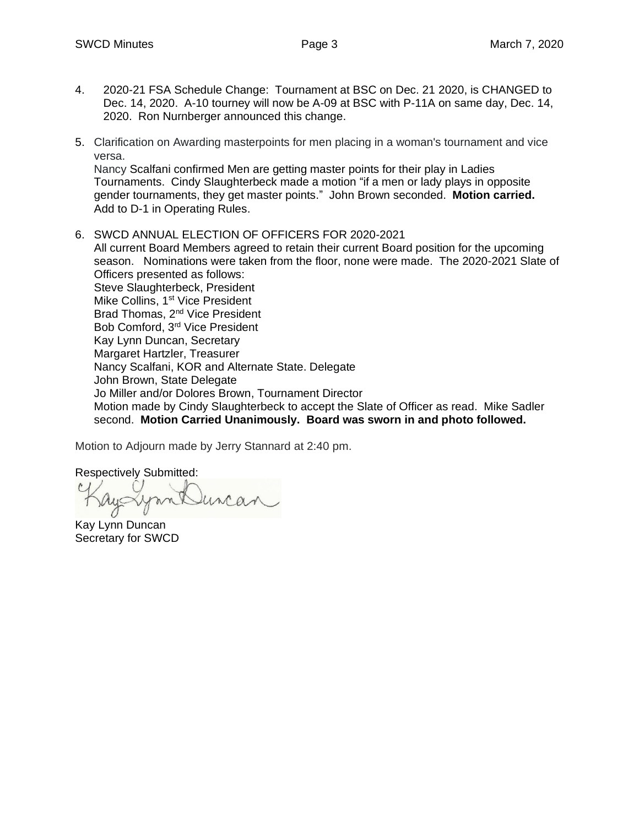- 4. 2020-21 FSA Schedule Change: Tournament at BSC on Dec. 21 2020, is CHANGED to Dec. 14, 2020. A-10 tourney will now be A-09 at BSC with P-11A on same day, Dec. 14, 2020. Ron Nurnberger announced this change.
- 5. Clarification on Awarding masterpoints for men placing in a woman's tournament and vice versa.

Nancy Scalfani confirmed Men are getting master points for their play in Ladies Tournaments. Cindy Slaughterbeck made a motion "if a men or lady plays in opposite gender tournaments, they get master points." John Brown seconded. **Motion carried.**  Add to D-1 in Operating Rules.

6. SWCD ANNUAL ELECTION OF OFFICERS FOR 2020-2021 All current Board Members agreed to retain their current Board position for the upcoming season. Nominations were taken from the floor, none were made. The 2020-2021 Slate of Officers presented as follows: Steve Slaughterbeck, President Mike Collins, 1<sup>st</sup> Vice President Brad Thomas, 2<sup>nd</sup> Vice President Bob Comford, 3rd Vice President Kay Lynn Duncan, Secretary Margaret Hartzler, Treasurer Nancy Scalfani, KOR and Alternate State. Delegate John Brown, State Delegate Jo Miller and/or Dolores Brown, Tournament Director Motion made by Cindy Slaughterbeck to accept the Slate of Officer as read. Mike Sadler second. **Motion Carried Unanimously. Board was sworn in and photo followed.** 

Motion to Adjourn made by Jerry Stannard at 2:40 pm.

Respectively Submitted:

Kay Lynn Duncan Secretary for SWCD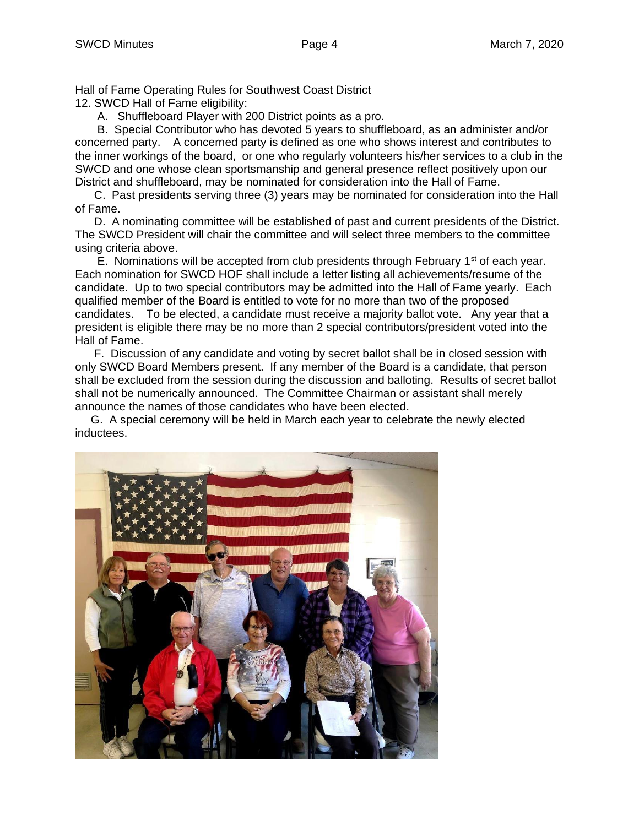Hall of Fame Operating Rules for Southwest Coast District 12. SWCD Hall of Fame eligibility:

A. Shuffleboard Player with 200 District points as a pro.

 B. Special Contributor who has devoted 5 years to shuffleboard, as an administer and/or concerned party. A concerned party is defined as one who shows interest and contributes to the inner workings of the board, or one who regularly volunteers his/her services to a club in the SWCD and one whose clean sportsmanship and general presence reflect positively upon our District and shuffleboard, may be nominated for consideration into the Hall of Fame.

 C. Past presidents serving three (3) years may be nominated for consideration into the Hall of Fame.

 D. A nominating committee will be established of past and current presidents of the District. The SWCD President will chair the committee and will select three members to the committee using criteria above.

E. Nominations will be accepted from club presidents through February  $1<sup>st</sup>$  of each year. Each nomination for SWCD HOF shall include a letter listing all achievements/resume of the candidate. Up to two special contributors may be admitted into the Hall of Fame yearly. Each qualified member of the Board is entitled to vote for no more than two of the proposed candidates. To be elected, a candidate must receive a majority ballot vote. Any year that a president is eligible there may be no more than 2 special contributors/president voted into the Hall of Fame.

 F. Discussion of any candidate and voting by secret ballot shall be in closed session with only SWCD Board Members present. If any member of the Board is a candidate, that person shall be excluded from the session during the discussion and balloting. Results of secret ballot shall not be numerically announced. The Committee Chairman or assistant shall merely announce the names of those candidates who have been elected.

 G. A special ceremony will be held in March each year to celebrate the newly elected inductees.